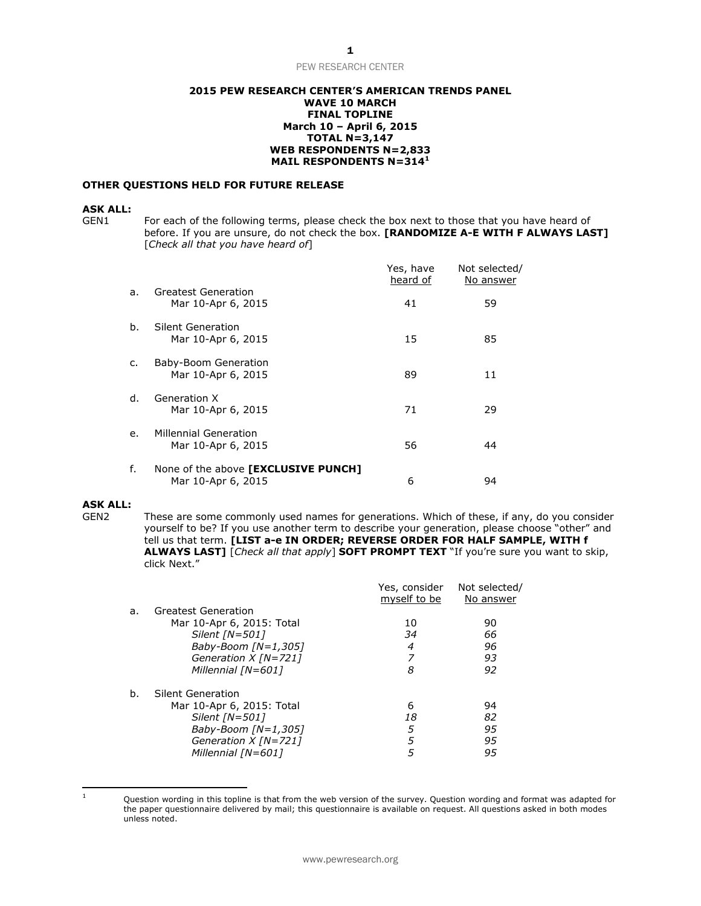#### **2015 PEW RESEARCH CENTER'S AMERICAN TRENDS PANEL WAVE 10 MARCH FINAL TOPLINE March 10 – April 6, 2015 TOTAL N=3,147 WEB RESPONDENTS N=2,833 MAIL RESPONDENTS N=314<sup>1</sup>**

#### **OTHER QUESTIONS HELD FOR FUTURE RELEASE**

#### **ASK ALL:**

GEN1 For each of the following terms, please check the box next to those that you have heard of before. If you are unsure, do not check the box. **[RANDOMIZE A-E WITH F ALWAYS LAST]** [*Check all that you have heard of*]

|    |                                                           | Yes, have<br>heard of | Not selected/<br>No answer |
|----|-----------------------------------------------------------|-----------------------|----------------------------|
| a. | Greatest Generation<br>Mar 10-Apr 6, 2015                 | 41                    | 59                         |
| b. | Silent Generation<br>Mar 10-Apr 6, 2015                   | 15                    | 85                         |
| c. | Baby-Boom Generation<br>Mar 10-Apr 6, 2015                | 89                    | 11                         |
| d. | Generation X<br>Mar 10-Apr 6, 2015                        | 71                    | 29                         |
| e. | <b>Millennial Generation</b><br>Mar 10-Apr 6, 2015        | 56                    | 44                         |
| f. | None of the above [EXCLUSIVE PUNCH]<br>Mar 10-Apr 6, 2015 | 6                     | 94                         |

#### **ASK ALL:**

GEN2 These are some commonly used names for generations. Which of these, if any, do you consider yourself to be? If you use another term to describe your generation, please choose "other" and tell us that term. **[LIST a-e IN ORDER; REVERSE ORDER FOR HALF SAMPLE, WITH f ALWAYS LAST]** [*Check all that apply*] **SOFT PROMPT TEXT** "If you're sure you want to skip, click Next."

|    |                           | Yes, consider<br>myself to be | Not selected/<br>No answer |
|----|---------------------------|-------------------------------|----------------------------|
| a. | Greatest Generation       |                               |                            |
|    | Mar 10-Apr 6, 2015: Total | 10                            | 90                         |
|    | Silent $[N=501]$          | 34                            | 66                         |
|    | Baby-Boom $[N=1,305]$     | 4                             | 96                         |
|    | Generation $X$ [N=721]    |                               | 93                         |
|    | Millennial [N=601]        | 8                             | 92                         |
| b. | Silent Generation         |                               |                            |
|    | Mar 10-Apr 6, 2015: Total | 6                             | 94                         |
|    | Silent $[N=501]$          | 18                            | 82                         |
|    | Baby-Boom $[N=1,305]$     | 5                             | 95                         |
|    | Generation $X$ [N=721]    | 5                             | 95                         |
|    | Millennial [N=601]        | 5                             | 95                         |

 $\mathbf{1}$ 

Question wording in this topline is that from the web version of the survey. Question wording and format was adapted for the paper questionnaire delivered by mail; this questionnaire is available on request. All questions asked in both modes unless noted.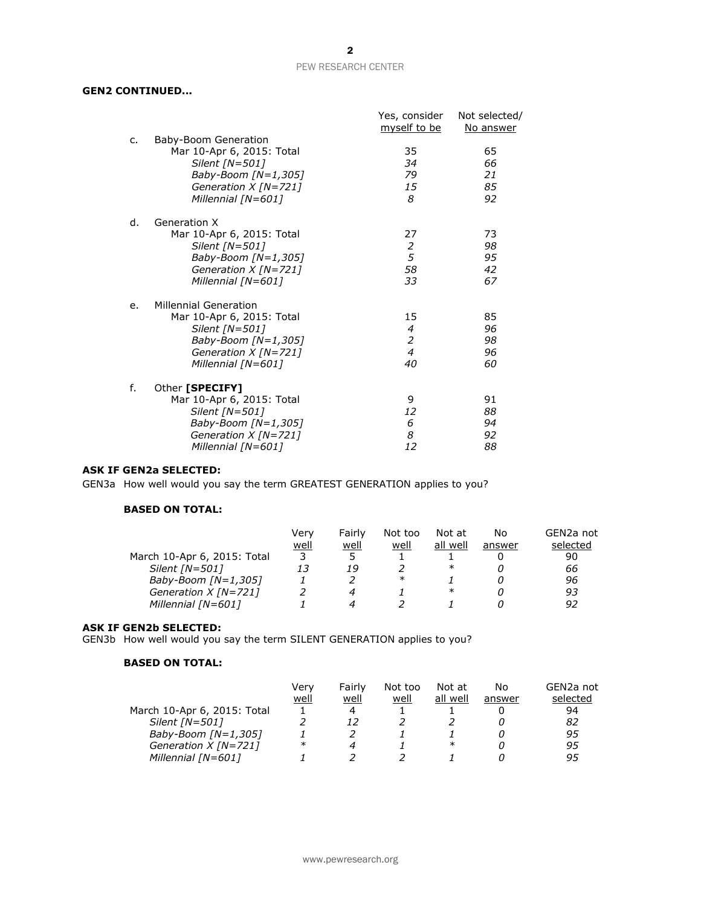## **GEN2 CONTINUED...**

|    |                              | Yes, consider<br>myself to be | Not selected/<br>No answer |
|----|------------------------------|-------------------------------|----------------------------|
| c. | Baby-Boom Generation         |                               |                            |
|    | Mar 10-Apr 6, 2015: Total    | 35                            | 65                         |
|    | Silent [N=501]               | 34                            | 66                         |
|    | Baby-Boom $[N=1,305]$        | 79                            | 21                         |
|    | Generation X [N=721]         | 15                            | 85                         |
|    | Millennial [N=601]           | 8                             | 92                         |
| d. | Generation X                 |                               |                            |
|    | Mar 10-Apr 6, 2015: Total    | 27                            | 73                         |
|    | Silent [N=501]               | 2                             | 98                         |
|    | Baby-Boom [N=1,305]          | 5                             | 95                         |
|    | Generation $X$ [N=721]       | 58                            | 42                         |
|    | Millennial [N=601]           | 33                            | 67                         |
| e. | <b>Millennial Generation</b> |                               |                            |
|    | Mar 10-Apr 6, 2015: Total    | 15                            | 85                         |
|    | Silent [N=501]               | 4                             | 96                         |
|    | Baby-Boom [N=1,305]          | $\overline{2}$                | 98                         |
|    | Generation $X$ [N=721]       | $\overline{4}$                | 96                         |
|    | Millennial [N=601]           | 40                            | 60                         |
| f. | Other [SPECIFY]              |                               |                            |
|    | Mar 10-Apr 6, 2015: Total    | 9                             | 91                         |
|    | Silent [N=501]               | 12                            | 88                         |
|    | Baby-Boom [N=1,305]          | 6                             | 94                         |
|    | Generation $X$ [N=721]       | 8                             | 92                         |
|    | Millennial [N=601]           | 12                            | 88                         |
|    |                              |                               |                            |

## **ASK IF GEN2a SELECTED:**

GEN3a How well would you say the term GREATEST GENERATION applies to you?

# **BASED ON TOTAL:**

|                             | Verv | Fairly | Not too | Not at   | No     | GEN2a not |
|-----------------------------|------|--------|---------|----------|--------|-----------|
|                             | well | well   | well    | all well | answer | selected  |
| March 10-Apr 6, 2015: Total |      | 5      |         |          |        | 90        |
| Silent $[N=501]$            | 13   | 19     |         | ∗        |        | 66        |
| Baby-Boom $[N=1,305]$       |      |        | $\ast$  |          |        | 96        |
| Generation $X$ [N=721]      |      |        |         | ∗        |        | 93        |
| Millennial [N=601]          |      |        |         |          |        | 92        |

#### **ASK IF GEN2b SELECTED:**

GEN3b How well would you say the term SILENT GENERATION applies to you?

## **BASED ON TOTAL:**

|                             | Verv   | Fairly | Not too | Not at   | No     | GEN2a not |
|-----------------------------|--------|--------|---------|----------|--------|-----------|
|                             | well   | well   | well    | all well | answer | selected  |
| March 10-Apr 6, 2015: Total |        | 4      |         |          |        | 94        |
| Silent $[N=501]$            |        |        |         |          |        | 82        |
| Baby-Boom $[N=1,305]$       |        |        |         |          |        | 95        |
| Generation $X$ [N=721]      | $\ast$ |        |         | $\ast$   |        | 95        |
| Millennial [N=601]          |        |        |         |          |        | 95        |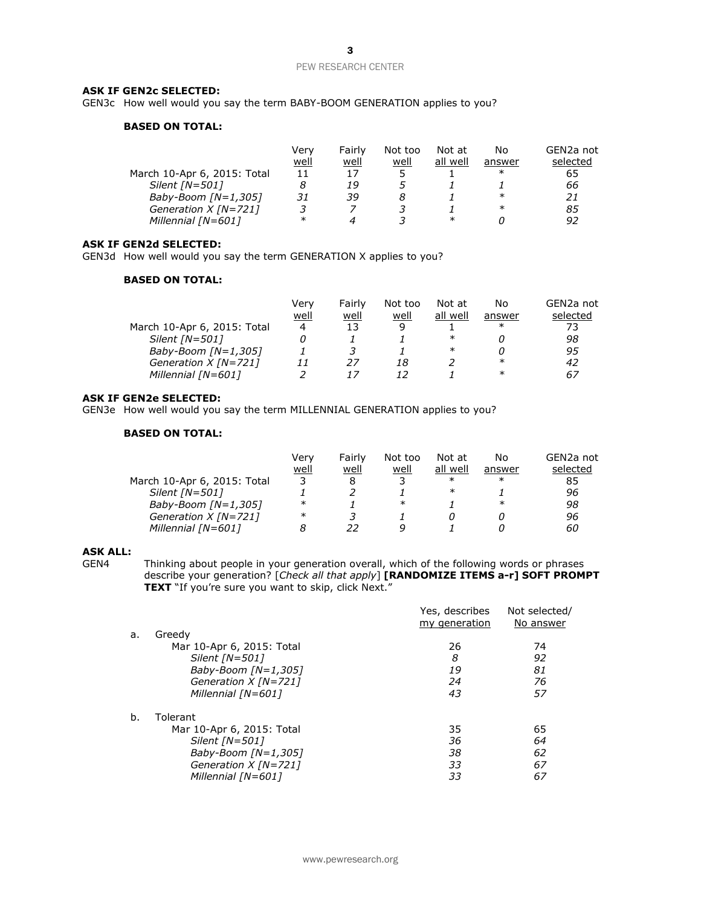#### **ASK IF GEN2c SELECTED:**

GEN3c How well would you say the term BABY-BOOM GENERATION applies to you?

#### **BASED ON TOTAL:**

|                             | Verv   | Fairly | Not too | Not at   | No     | GEN <sub>2</sub> a not |
|-----------------------------|--------|--------|---------|----------|--------|------------------------|
|                             | well   | well   | well    | all well | answer | selected               |
| March 10-Apr 6, 2015: Total |        | 17     |         |          | ∗      | 65                     |
| Silent $[N=501]$            |        | 19     |         |          |        | 66                     |
| Baby-Boom $[N=1,305]$       | 31     | 39     |         |          | $\ast$ | 21                     |
| Generation $X$ [N=721]      |        |        |         |          | $\ast$ | 85                     |
| Millennial [N=601]          | $\ast$ |        |         | ∗        |        | 92                     |

#### **ASK IF GEN2d SELECTED:**

GEN3d How well would you say the term GENERATION X applies to you?

## **BASED ON TOTAL:**

|                             | Verv | Fairly | Not too | Not at   | No     | GEN2a not |
|-----------------------------|------|--------|---------|----------|--------|-----------|
|                             | well | well   | well    | all well | answer | selected  |
| March 10-Apr 6, 2015: Total | 4    | 13     | q       |          | $\ast$ | 73        |
| Silent $[N=501]$            |      |        |         | $\ast$   |        | 98        |
| Baby-Boom $[N=1,305]$       |      |        |         | $\ast$   |        | 95        |
| Generation $X$ [N=721]      |      | 27     | 18      |          | ∗      | 42        |
| Millennial [N=601]          |      |        |         |          | $\ast$ | 67        |

## **ASK IF GEN2e SELECTED:**

GEN3e How well would you say the term MILLENNIAL GENERATION applies to you?

# **BASED ON TOTAL:**

|                             | Very   | Fairly | Not too | Not at   | No     | GEN2a not |
|-----------------------------|--------|--------|---------|----------|--------|-----------|
|                             | well   | well   | well    | all well | answer | selected  |
| March 10-Apr 6, 2015: Total |        |        |         | $\ast$   | $\ast$ | 85        |
| Silent $[N=501]$            |        |        |         | $\ast$   |        | 96        |
| Baby-Boom $[N=1,305]$       | $\ast$ |        | $\ast$  |          | $\ast$ | 98        |
| Generation $X$ [N=721]      | $\ast$ |        |         |          |        | 96        |
| Millennial [N=601]          |        | 22     | Q       |          |        | 60        |

# **ASK ALL:**

Thinking about people in your generation overall, which of the following words or phrases describe your generation? [*Check all that apply*] **[RANDOMIZE ITEMS a-r] SOFT PROMPT**  TEXT "If you're sure you want to skip, click Next."

|    |                           | Yes, describes<br>my generation | Not selected/<br>No answer |
|----|---------------------------|---------------------------------|----------------------------|
| a. | Greedy                    |                                 |                            |
|    | Mar 10-Apr 6, 2015: Total | 26                              | 74                         |
|    | Silent $[N=501]$          | 8                               | 92                         |
|    | Baby-Boom $[N=1,305]$     | 19                              | 81                         |
|    | Generation $X$ [N=721]    | 24                              | 76                         |
|    | Millennial [N=601]        | 43                              | 57                         |
| b. | Tolerant                  |                                 |                            |
|    | Mar 10-Apr 6, 2015: Total | 35                              | 65                         |
|    | Silent $[N=501]$          | 36                              | 64                         |
|    | Baby-Boom $[N=1,305]$     | 38                              | 62                         |
|    | Generation $X$ [N=721]    | 33                              | 67                         |
|    | Millennial [N=601]        | 33                              | 67                         |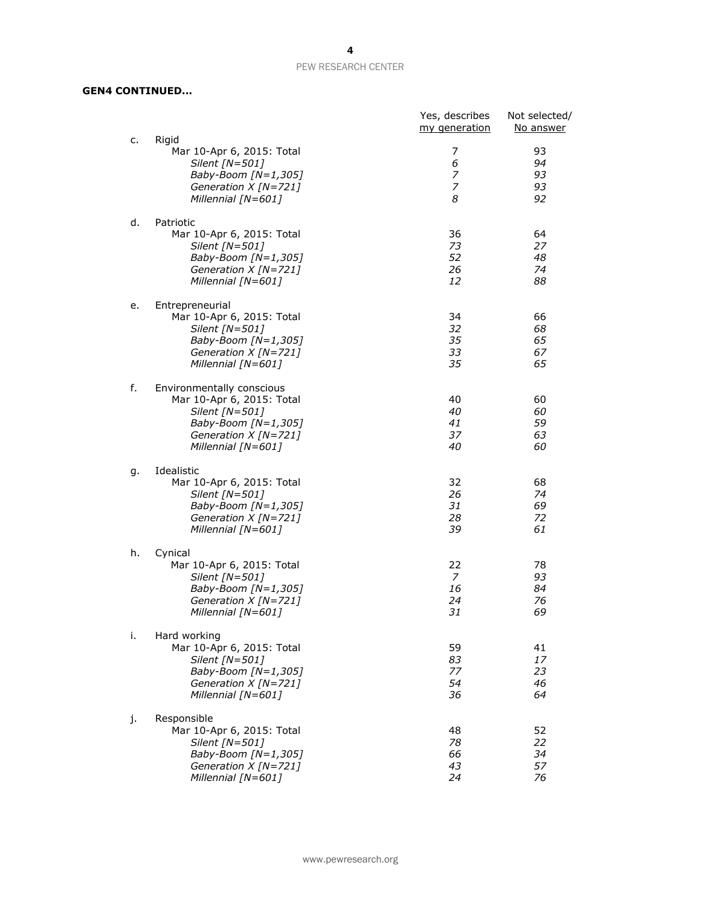# **GEN4 CONTINUED...**

| c. | Rigid                                                                                                                                           | Yes, describes<br>my generation        | Not selected/<br>No answer |
|----|-------------------------------------------------------------------------------------------------------------------------------------------------|----------------------------------------|----------------------------|
|    | Mar 10-Apr 6, 2015: Total<br>Silent [N=501]<br>Baby-Boom [N=1,305]<br>Generation X [N=721]<br>Millennial [N=601]                                | 7<br>6<br>7<br>7<br>8                  | 93<br>94<br>93<br>93<br>92 |
| d. | Patriotic<br>Mar 10-Apr 6, 2015: Total<br>Silent [N=501]<br>Baby-Boom [N=1,305]<br>Generation X [N=721]<br>Millennial [N=601]                   | 36<br>73<br>52<br>26<br>12             | 64<br>27<br>48<br>74<br>88 |
| e. | Entrepreneurial<br>Mar 10-Apr 6, 2015: Total<br>Silent [N=501]<br>Baby-Boom [N=1,305]<br>Generation X [N=721]<br>Millennial [N=601]             | 34<br>32<br>35<br>33<br>35             | 66<br>68<br>65<br>67<br>65 |
| f. | Environmentally conscious<br>Mar 10-Apr 6, 2015: Total<br>Silent [N=501]<br>Baby-Boom [N=1,305]<br>Generation $X$ [N=721]<br>Millennial [N=601] | 40<br>40<br>41<br>37<br>40             | 60<br>60<br>59<br>63<br>60 |
| g. | Idealistic<br>Mar 10-Apr 6, 2015: Total<br>Silent [N=501]<br>Baby-Boom [N=1,305]<br>Generation $X$ [N=721]<br>Millennial [N=601]                | 32<br>26<br>31<br>28<br>39             | 68<br>74<br>69<br>72<br>61 |
| h. | Cynical<br>Mar 10-Apr 6, 2015: Total<br>Silent [N=501]<br>Baby-Boom $[N=1,305]$<br>Generation $X$ [N=721]<br>Millennial [N=601]                 | 22<br>$\overline{7}$<br>16<br>24<br>31 | 78<br>93<br>84<br>76<br>69 |
| i. | Hard working<br>Mar 10-Apr 6, 2015: Total<br>Silent [N=501]<br>Baby-Boom [N=1,305]<br>Generation $X$ [N=721]<br>Millennial [N=601]              | 59<br>83<br>77<br>54<br>36             | 41<br>17<br>23<br>46<br>64 |
| j. | Responsible<br>Mar 10-Apr 6, 2015: Total<br>Silent [N=501]<br>Baby-Boom [N=1,305]<br>Generation $X$ [N=721]<br>Millennial [N=601]               | 48<br>78<br>66<br>43<br>24             | 52<br>22<br>34<br>57<br>76 |